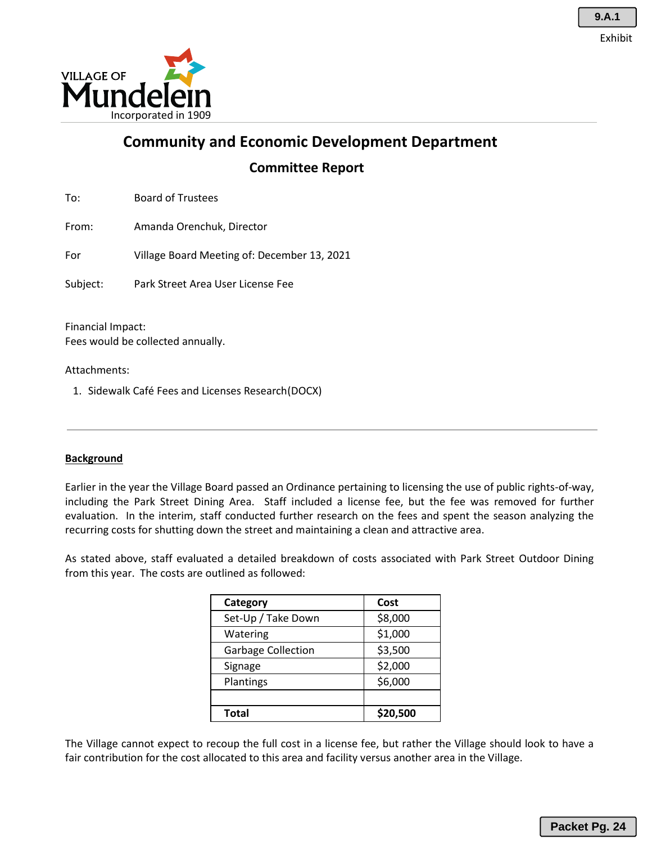

**Community and Economic Development Department**

**Committee Report**

To: Board of Trustees

From: Amanda Orenchuk, Director

For Village Board Meeting of: December 13, 2021

Subject: Park Street Area User License Fee

Financial Impact: Fees would be collected annually.

Attachments:

1. Sidewalk Café Fees and Licenses Research(DOCX)

### **Background**

Earlier in the year the Village Board passed an Ordinance pertaining to licensing the use of public rights-of-way, including the Park Street Dining Area. Staff included a license fee, but the fee was removed for further evaluation. In the interim, staff conducted further research on the fees and spent the season analyzing the recurring costs for shutting down the street and maintaining a clean and attractive area.

As stated above, staff evaluated a detailed breakdown of costs associated with Park Street Outdoor Dining from this year. The costs are outlined as followed:

| Category                  | Cost     |
|---------------------------|----------|
| Set-Up / Take Down        | \$8,000  |
| Watering                  | \$1,000  |
| <b>Garbage Collection</b> | \$3,500  |
| Signage                   | \$2,000  |
| Plantings                 | \$6,000  |
|                           |          |
| <b>Total</b>              | \$20,500 |

The Village cannot expect to recoup the full cost in a license fee, but rather the Village should look to have a fair contribution for the cost allocated to this area and facility versus another area in the Village.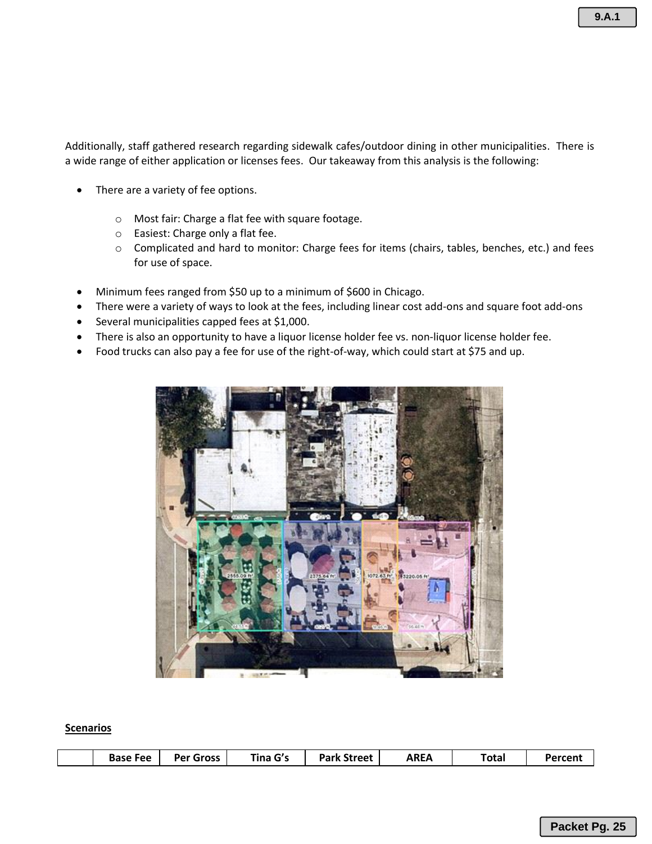**9.A.1**

Additionally, staff gathered research regarding sidewalk cafes/outdoor dining in other municipalities. There is a wide range of either application or licenses fees. Our takeaway from this analysis is the following:

- There are a variety of fee options.
	- o Most fair: Charge a flat fee with square footage.
	- o Easiest: Charge only a flat fee.
	- o Complicated and hard to monitor: Charge fees for items (chairs, tables, benches, etc.) and fees for use of space.
- Minimum fees ranged from \$50 up to a minimum of \$600 in Chicago.
- There were a variety of ways to look at the fees, including linear cost add-ons and square foot add-ons
- Several municipalities capped fees at \$1,000.
- There is also an opportunity to have a liquor license holder fee vs. non-liquor license holder fee.
- Food trucks can also pay a fee for use of the right-of-way, which could start at \$75 and up.



#### **Scenarios**

|  |  | <b>Base Fee</b> | <b>Per Gross</b> | Tina G's | <b>Park Street</b> | <b>AREA</b> | $\tau$ otal | Percent |
|--|--|-----------------|------------------|----------|--------------------|-------------|-------------|---------|
|--|--|-----------------|------------------|----------|--------------------|-------------|-------------|---------|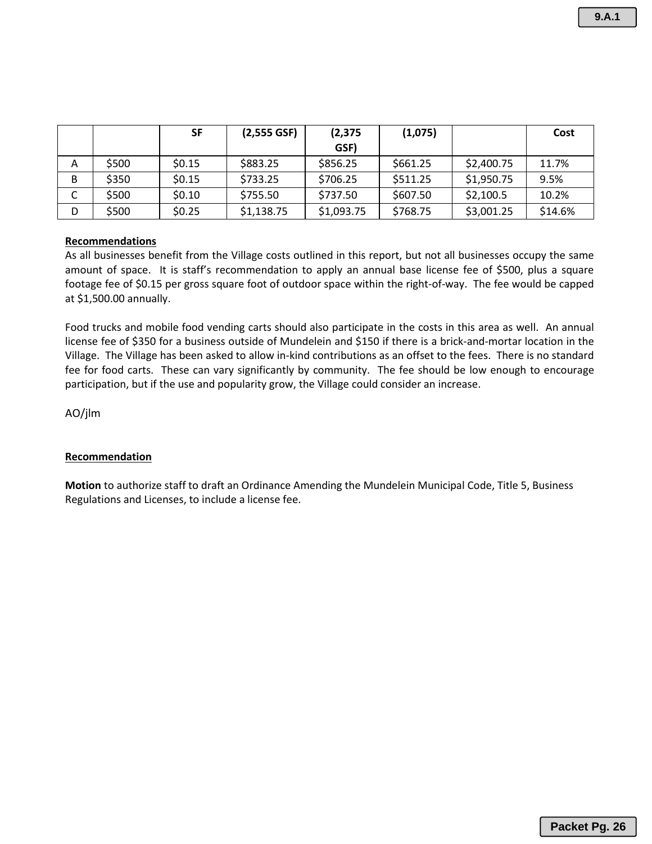|   |       | <b>SF</b> | (2,555 GSF) | (2, 375)   | (1,075)  |            | Cost    |
|---|-------|-----------|-------------|------------|----------|------------|---------|
|   |       |           |             | GSF)       |          |            |         |
| A | \$500 | \$0.15    | \$883.25    | \$856.25   | \$661.25 | \$2,400.75 | 11.7%   |
| B | \$350 | \$0.15    | \$733.25    | \$706.25   | \$511.25 | \$1,950.75 | 9.5%    |
|   | \$500 | \$0.10    | \$755.50    | \$737.50   | \$607.50 | \$2,100.5  | 10.2%   |
| D | \$500 | \$0.25    | \$1,138.75  | \$1,093.75 | \$768.75 | \$3,001.25 | \$14.6% |

#### **Recommendations**

As all businesses benefit from the Village costs outlined in this report, but not all businesses occupy the same amount of space. It is staff's recommendation to apply an annual base license fee of \$500, plus a square footage fee of \$0.15 per gross square foot of outdoor space within the right-of-way. The fee would be capped at \$1,500.00 annually.

Food trucks and mobile food vending carts should also participate in the costs in this area as well. An annual license fee of \$350 for a business outside of Mundelein and \$150 if there is a brick-and-mortar location in the Village. The Village has been asked to allow in-kind contributions as an offset to the fees. There is no standard fee for food carts. These can vary significantly by community. The fee should be low enough to encourage participation, but if the use and popularity grow, the Village could consider an increase.

AO/jlm

### **Recommendation**

**Motion** to authorize staff to draft an Ordinance Amending the Mundelein Municipal Code, Title 5, Business Regulations and Licenses, to include a license fee.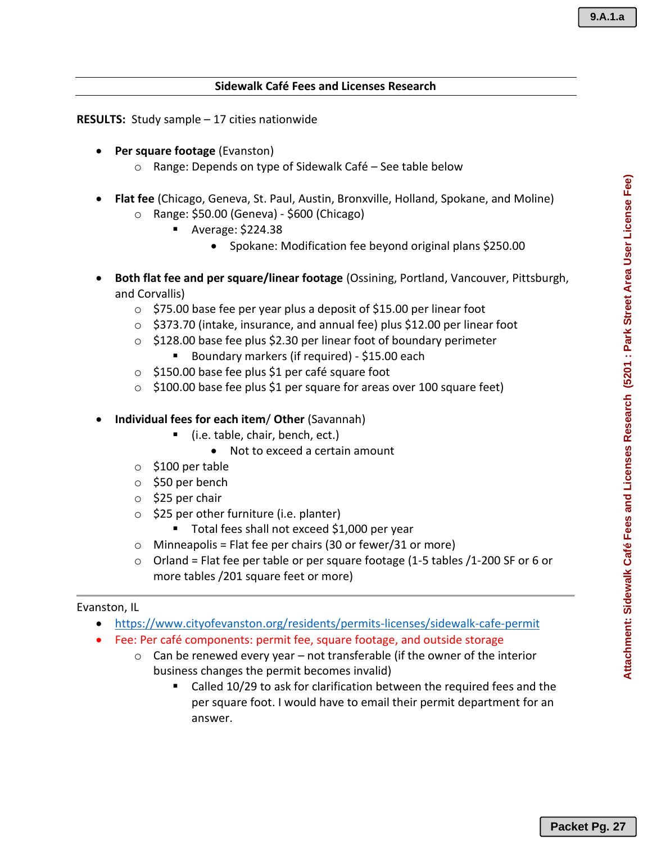## **Sidewalk Café Fees and Licenses Research**

**RESULTS:** Study sample – 17 cities nationwide

- **Per square footage** (Evanston)
	- o Range: Depends on type of Sidewalk Café See table below
- **Flat fee** (Chicago, Geneva, St. Paul, Austin, Bronxville, Holland, Spokane, and Moline) o Range: \$50.00 (Geneva) - \$600 (Chicago)
	- Average: \$224.38
		- Spokane: Modification fee beyond original plans \$250.00
- **Both flat fee and per square/linear footage** (Ossining, Portland, Vancouver, Pittsburgh, and Corvallis)
	- $\circ$  \$75.00 base fee per year plus a deposit of \$15.00 per linear foot
	- o \$373.70 (intake, insurance, and annual fee) plus \$12.00 per linear foot
	- $\circ$  \$128.00 base fee plus \$2.30 per linear foot of boundary perimeter
		- Boundary markers (if required) \$15.00 each
	- o \$150.00 base fee plus \$1 per café square foot
	- $\circ$  \$100.00 base fee plus \$1 per square for areas over 100 square feet)
- **Individual fees for each item**/ **Other** (Savannah)
	- (i.e. table, chair, bench, ect.)
		- Not to exceed a certain amount
	- $\circ$  \$100 per table
	- o \$50 per bench
	- o \$25 per chair
	- $\circ$  \$25 per other furniture (i.e. planter)
		- Total fees shall not exceed \$1,000 per year
	- $\circ$  Minneapolis = Flat fee per chairs (30 or fewer/31 or more)
	- $\circ$  Orland = Flat fee per table or per square footage (1-5 tables /1-200 SF or 6 or more tables /201 square feet or more)

### Evanston, IL

- https://www.cityofevanston.org/residents/permits-licenses/sidewalk-cafe-permit
- Fee: Per café components: permit fee, square footage, and outside storage
	- $\circ$  Can be renewed every year not transferable (if the owner of the interior business changes the permit becomes invalid)
		- Called 10/29 to ask for clarification between the required fees and the per square foot. I would have to email their permit department for an answer.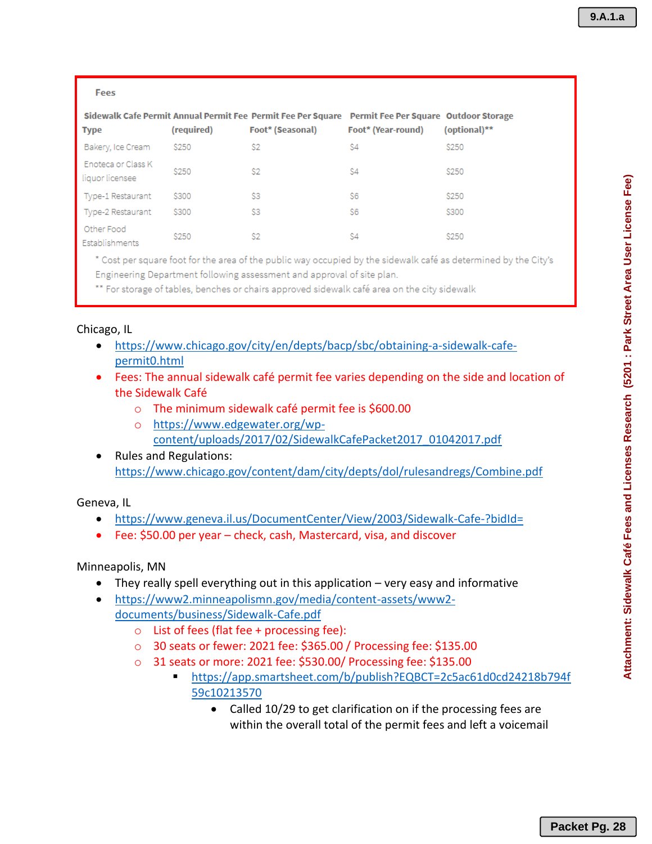| Fees                                  |              |                                                                                  |                                                                    |              |
|---------------------------------------|--------------|----------------------------------------------------------------------------------|--------------------------------------------------------------------|--------------|
| <b>Type</b>                           | (required)   | Sidewalk Cafe Permit Annual Permit Fee Permit Fee Per Square<br>Foot* (Seasonal) | <b>Permit Fee Per Square Outdoor Storage</b><br>Foot* (Year-round) | (optional)** |
| Bakery, Ice Cream                     | \$250        | S <sub>2</sub>                                                                   | S4                                                                 | <b>\$250</b> |
| Enoteca or Class K<br>liquor licensee | <b>\$250</b> | S <sub>2</sub>                                                                   | \$4                                                                | \$250        |
| Type-1 Restaurant                     | \$300        | S3                                                                               | S6                                                                 | <b>\$250</b> |
| Type-2 Restaurant                     | \$300        | S3                                                                               | S6                                                                 | \$300        |
| Other Food<br>Establishments          | \$250        | S2                                                                               | S4                                                                 | \$250        |

\* Cost per square foot for the area of the public way occupied by the sidewalk café as determined by the City's Engineering Department following assessment and approval of site plan.

\*\* For storage of tables, benches or chairs approved sidewalk café area on the city sidewalk

### Chicago, IL

- https://www.chicago.gov/city/en/depts/bacp/sbc/obtaining-a-sidewalk-cafepermit0.html
- Fees: The annual sidewalk café permit fee varies depending on the side and location of the Sidewalk Café
	- o The minimum sidewalk café permit fee is \$600.00
	- o https://www.edgewater.org/wpcontent/uploads/2017/02/SidewalkCafePacket2017\_01042017.pdf
- Rules and Regulations: https://www.chicago.gov/content/dam/city/depts/dol/rulesandregs/Combine.pdf

Geneva, IL

- https://www.geneva.il.us/DocumentCenter/View/2003/Sidewalk-Cafe-?bidId=
- Fee: \$50.00 per year check, cash, Mastercard, visa, and discover

Minneapolis, MN

- They really spell everything out in this application very easy and informative
- https://www2.minneapolismn.gov/media/content-assets/www2 documents/business/Sidewalk-Cafe.pdf
	- $\circ$  List of fees (flat fee + processing fee):
	- o 30 seats or fewer: 2021 fee: \$365.00 / Processing fee: \$135.00
	- o 31 seats or more: 2021 fee: \$530.00/ Processing fee: \$135.00
		- https://app.smartsheet.com/b/publish?EQBCT=2c5ac61d0cd24218b794f 59c10213570
			- Called 10/29 to get clarification on if the processing fees are within the overall total of the permit fees and left a voicemail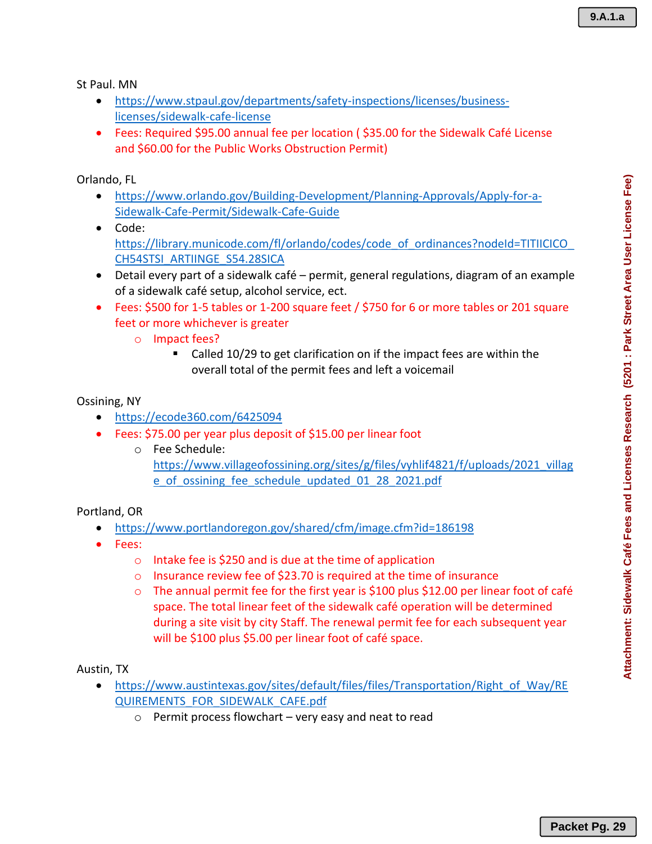St Paul. MN

- https://www.stpaul.gov/departments/safety-inspections/licenses/businesslicenses/sidewalk-cafe-license
- Fees: Required \$95.00 annual fee per location ( \$35.00 for the Sidewalk Café License and \$60.00 for the Public Works Obstruction Permit)

Orlando, FL

- https://www.orlando.gov/Building-Development/Planning-Approvals/Apply-for-a-Sidewalk-Cafe-Permit/Sidewalk-Cafe-Guide
- Code: https://library.municode.com/fl/orlando/codes/code\_of\_ordinances?nodeId=TITIICICO CH54STSI\_ARTIINGE\_S54.28SICA
- Detail every part of a sidewalk café permit, general regulations, diagram of an example of a sidewalk café setup, alcohol service, ect.
- Fees: \$500 for 1-5 tables or 1-200 square feet / \$750 for 6 or more tables or 201 square feet or more whichever is greater
	- o Impact fees?
		- Called 10/29 to get clarification on if the impact fees are within the overall total of the permit fees and left a voicemail

### Ossining, NY

- https://ecode360.com/6425094
- Fees: \$75.00 per year plus deposit of \$15.00 per linear foot
	- o Fee Schedule: https://www.villageofossining.org/sites/g/files/vyhlif4821/f/uploads/2021\_villag e\_of\_ossining\_fee\_schedule\_updated\_01\_28\_2021.pdf

Portland, OR

- https://www.portlandoregon.gov/shared/cfm/image.cfm?id=186198
- Fees:
	- o Intake fee is \$250 and is due at the time of application
	- o Insurance review fee of \$23.70 is required at the time of insurance
	- o The annual permit fee for the first year is \$100 plus \$12.00 per linear foot of café space. The total linear feet of the sidewalk café operation will be determined during a site visit by city Staff. The renewal permit fee for each subsequent year will be \$100 plus \$5.00 per linear foot of café space.

Austin, TX

- https://www.austintexas.gov/sites/default/files/files/Transportation/Right\_of\_Way/RE QUIREMENTS\_FOR\_SIDEWALK\_CAFE.pdf
	- $\circ$  Permit process flowchart very easy and neat to read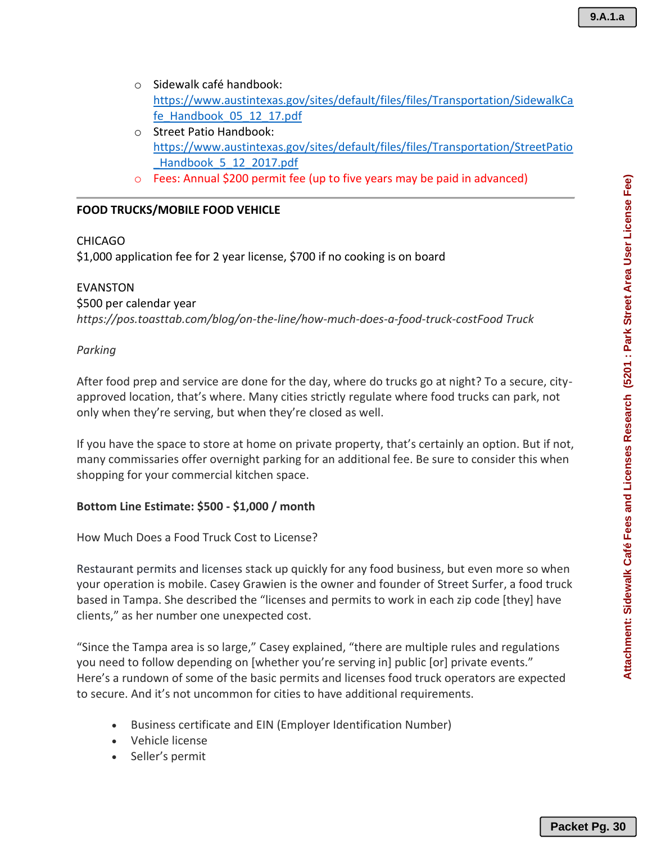Attachment: Sidewalk Café Fees and Licenses Research (5201 : Park Street Area User License Fee)

- o Sidewalk café handbook: https://www.austintexas.gov/sites/default/files/files/Transportation/SidewalkCa fe\_Handbook\_05\_12\_17.pdf
- o Street Patio Handbook: https://www.austintexas.gov/sites/default/files/files/Transportation/StreetPatio \_Handbook\_5\_12\_2017.pdf
- o Fees: Annual \$200 permit fee (up to five years may be paid in advanced)

# **FOOD TRUCKS/MOBILE FOOD VEHICLE**

# CHICAGO

\$1,000 application fee for 2 year license, \$700 if no cooking is on board

EVANSTON \$500 per calendar year *https://pos.toasttab.com/blog/on-the-line/how-much-does-a-food-truck-costFood Truck* 

## *Parking*

After food prep and service are done for the day, where do trucks go at night? To a secure, cityapproved location, that's where. Many cities strictly regulate where food trucks can park, not only when they're serving, but when they're closed as well.

If you have the space to store at home on private property, that's certainly an option. But if not, many commissaries offer overnight parking for an additional fee. Be sure to consider this when shopping for your commercial kitchen space.

## **Bottom Line Estimate: \$500 - \$1,000 / month**

How Much Does a Food Truck Cost to License?

Restaurant permits and licenses stack up quickly for any food business, but even more so when your operation is mobile. Casey Grawien is the owner and founder of Street Surfer, a food truck based in Tampa. She described the "licenses and permits to work in each zip code [they] have clients," as her number one unexpected cost. **Packet Pg. 30**<br>Attachment: Sidewalk Café Fees and Licenses Research (5201 : Park Street Area User License Fee)<br>Attachment: Sidewalk Café Fees and Licenses Research (5201 : Park Street Area User License Fee)

"Since the Tampa area is so large," Casey explained, "there are multiple rules and regulations you need to follow depending on [whether you're serving in] public [or] private events." Here's a rundown of some of the basic permits and licenses food truck operators are expected to secure. And it's not uncommon for cities to have additional requirements.

- Business certificate and EIN (Employer Identification Number)
- Vehicle license
- Seller's permit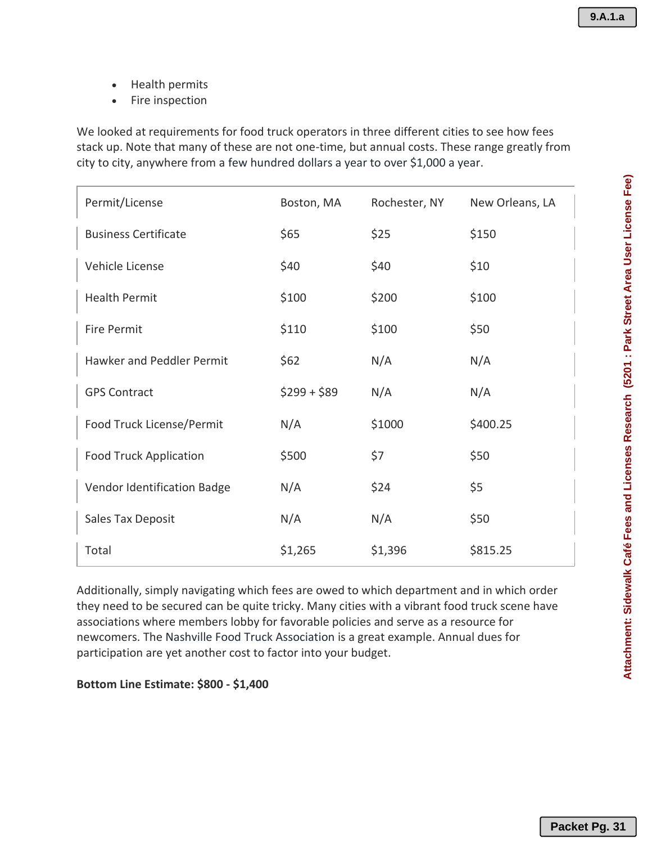- Health permits
- Fire inspection

We looked at requirements for food truck operators in three different cities to see how fees stack up. Note that many of these are not one-time, but annual costs. These range greatly from city to city, anywhere from a few hundred dollars a year to over \$1,000 a year.

| Permit/License                | Boston, MA   | Rochester, NY | New Orleans, LA |
|-------------------------------|--------------|---------------|-----------------|
| <b>Business Certificate</b>   | \$65         | \$25          | \$150           |
| Vehicle License               | \$40         | \$40          | \$10            |
| <b>Health Permit</b>          | \$100        | \$200         | \$100           |
| <b>Fire Permit</b>            | \$110        | \$100         | \$50            |
| Hawker and Peddler Permit     | \$62         | N/A           | N/A             |
| <b>GPS Contract</b>           | $$299 + $89$ | N/A           | N/A             |
| Food Truck License/Permit     | N/A          | \$1000        | \$400.25        |
| <b>Food Truck Application</b> | \$500        | \$7           | \$50            |
| Vendor Identification Badge   | N/A          | \$24          | \$5             |
| Sales Tax Deposit             | N/A          | N/A           | \$50            |
| Total                         | \$1,265      | \$1,396       | \$815.25        |

Additionally, simply navigating which fees are owed to which department and in which order they need to be secured can be quite tricky. Many cities with a vibrant food truck scene have associations where members lobby for favorable policies and serve as a resource for newcomers. The Nashville Food Truck Association is a great example. Annual dues for participation are yet another cost to factor into your budget.

**Bottom Line Estimate: \$800 - \$1,400**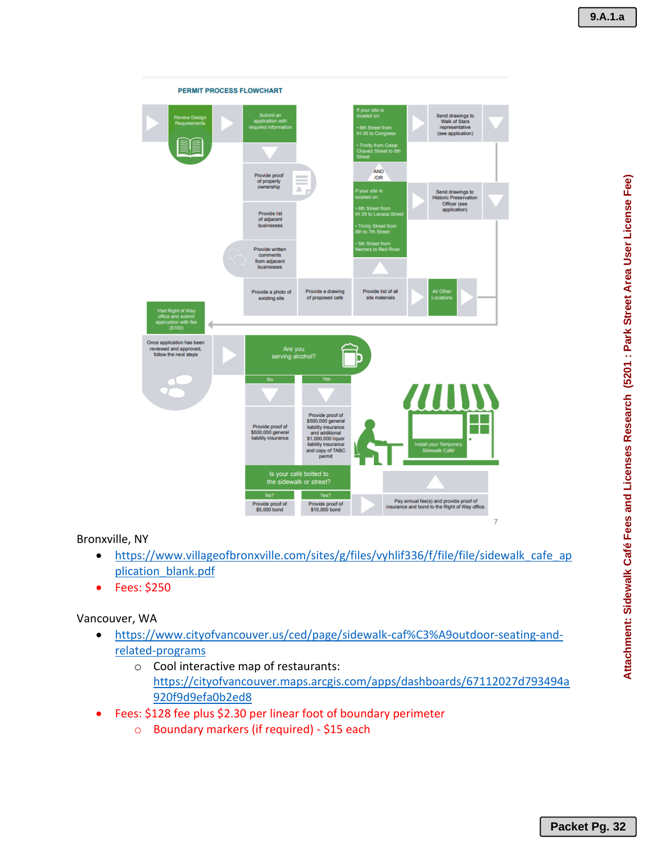

## Bronxville, NY

- https://www.villageofbronxville.com/sites/g/files/vyhlif336/f/file/file/sidewalk cafe ap plication\_blank.pdf
- Fees: \$250

Vancouver, WA

- https://www.cityofvancouver.us/ced/page/sidewalk-caf%C3%A9outdoor-seating-andrelated-programs
	- o Cool interactive map of restaurants: https://cityofvancouver.maps.arcgis.com/apps/dashboards/67112027d793494a 920f9d9efa0b2ed8
- Fees: \$128 fee plus \$2.30 per linear foot of boundary perimeter
	- o Boundary markers (if required) \$15 each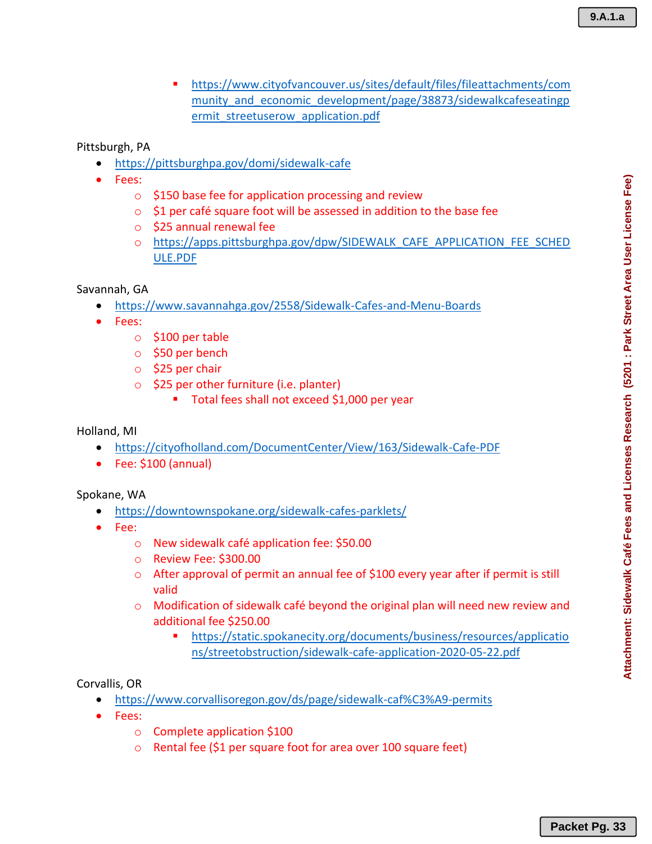▪ https://www.cityofvancouver.us/sites/default/files/fileattachments/com munity and economic development/page/38873/sidewalkcafeseatingp ermit\_streetuserow\_application.pdf

Pittsburgh, PA

- https://pittsburghpa.gov/domi/sidewalk-cafe
- Fees:
	- o \$150 base fee for application processing and review
	- o \$1 per café square foot will be assessed in addition to the base fee
	- o \$25 annual renewal fee
	- o https://apps.pittsburghpa.gov/dpw/SIDEWALK\_CAFE\_APPLICATION\_FEE\_SCHED ULE.PDF

## Savannah, GA

- https://www.savannahga.gov/2558/Sidewalk-Cafes-and-Menu-Boards
- Fees:
	- $\circ$  \$100 per table
	- o \$50 per bench
	- o \$25 per chair
	- $\circ$  \$25 per other furniture (i.e. planter)
		- Total fees shall not exceed \$1,000 per year

### Holland, MI

- https://cityofholland.com/DocumentCenter/View/163/Sidewalk-Cafe-PDF
- Fee: \$100 (annual)

### Spokane, WA

- https://downtownspokane.org/sidewalk-cafes-parklets/
- Fee:
	- o New sidewalk café application fee: \$50.00
	- o Review Fee: \$300.00
	- o After approval of permit an annual fee of \$100 every year after if permit is still valid
	- o Modification of sidewalk café beyond the original plan will need new review and additional fee \$250.00
		- https://static.spokanecity.org/documents/business/resources/applicatio ns/streetobstruction/sidewalk-cafe-application-2020-05-22.pdf

## Corvallis, OR

- https://www.corvallisoregon.gov/ds/page/sidewalk-caf%C3%A9-permits
- Fees:
	- o Complete application \$100
	- o Rental fee (\$1 per square foot for area over 100 square feet)